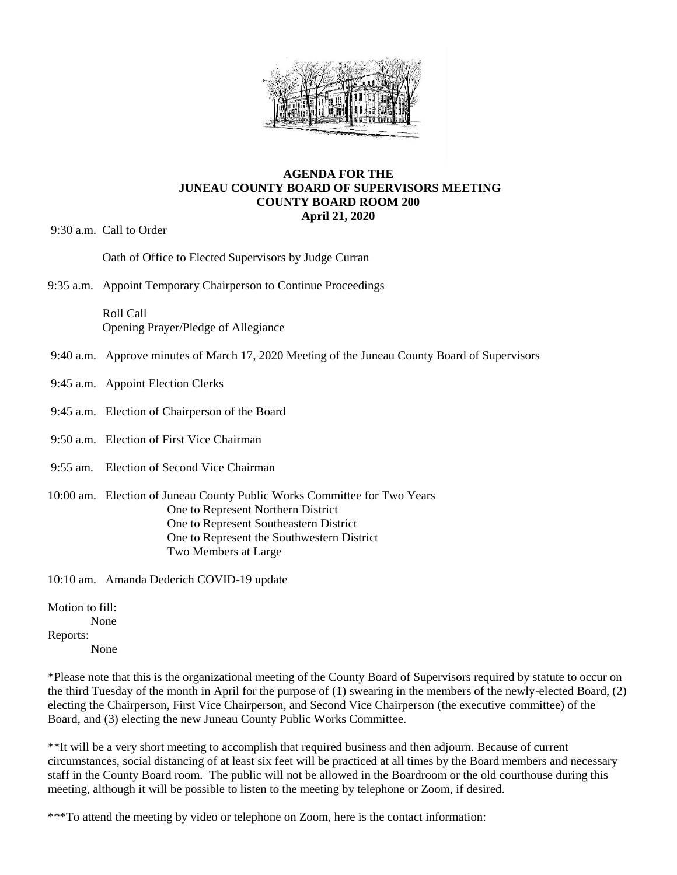

## **AGENDA FOR THE JUNEAU COUNTY BOARD OF SUPERVISORS MEETING COUNTY BOARD ROOM 200 April 21, 2020**

9:30 a.m. Call to Order

Oath of Office to Elected Supervisors by Judge Curran

9:35 a.m. Appoint Temporary Chairperson to Continue Proceedings

Roll Call Opening Prayer/Pledge of Allegiance

- 9:40 a.m. Approve minutes of March 17, 2020 Meeting of the Juneau County Board of Supervisors
- 9:45 a.m. Appoint Election Clerks
- 9:45 a.m. Election of Chairperson of the Board
- 9:50 a.m. Election of First Vice Chairman
- 9:55 am. Election of Second Vice Chairman
- 10:00 am. Election of Juneau County Public Works Committee for Two Years One to Represent Northern District One to Represent Southeastern District One to Represent the Southwestern District Two Members at Large

10:10 am. Amanda Dederich COVID-19 update

Motion to fill:

None

Reports:

None

\*Please note that this is the organizational meeting of the County Board of Supervisors required by statute to occur on the third Tuesday of the month in April for the purpose of (1) swearing in the members of the newly-elected Board, (2) electing the Chairperson, First Vice Chairperson, and Second Vice Chairperson (the executive committee) of the Board, and (3) electing the new Juneau County Public Works Committee.

\*\*It will be a very short meeting to accomplish that required business and then adjourn. Because of current circumstances, social distancing of at least six feet will be practiced at all times by the Board members and necessary staff in the County Board room. The public will not be allowed in the Boardroom or the old courthouse during this meeting, although it will be possible to listen to the meeting by telephone or Zoom, if desired.

\*\*\*To attend the meeting by video or telephone on Zoom, here is the contact information: